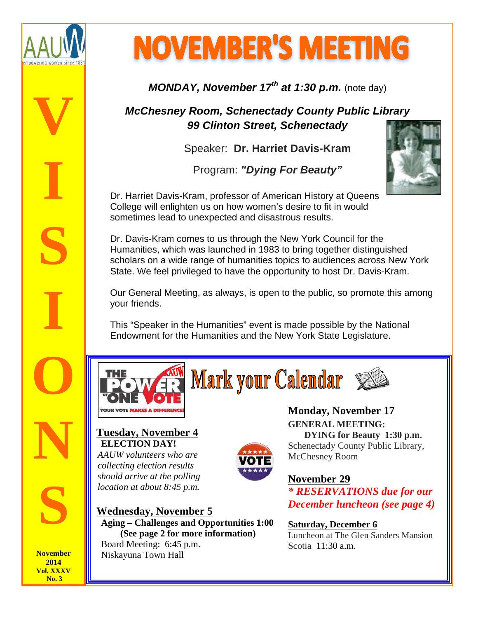

**NOVEMBER'S MEETING** 

**MONDAY, November 17th at 1:30 p.m.** (note day)

**McChesney Room, Schenectady County Public Library 99 Clinton Street, Schenectady**

Speaker: **Dr. Harriet Davis-Kram**

Program: **"Dying For Beauty"**



Dr. Harriet Davis-Kram, professor of American History at Queens College will enlighten us on how women's desire to fit in would sometimes lead to unexpected and disastrous results.

Dr. Davis-Kram comes to us through the New York Council for the Humanities, which was launched in 1983 to bring together distinguished scholars on a wide range of humanities topics to audiences across New York State. We feel privileged to have the opportunity to host Dr. Davis-Kram.

Our General Meeting, as always, is open to the public, so promote this among your friends.

This "Speaker in the Humanities" event is made possible by the National Endowment for the Humanities and the New York State Legislature.



**Mark your Calendar &** 



## **Tuesday, November 4 ELECTION DAY!**

*AAUW volunteers who are collecting election results should arrive at the polling location at about 8:45 p.m.* 

**Wednesday, November 5 Aging – Challenges and Opportunities 1:00 (See page 2 for more information)**

 Board Meeting: 6:45 p.m. Niskayuna Town Hall

**Monday, November 17 GENERAL MEETING: DYING for Beauty 1:30 p.m.** Schenectady County Public Library, McChesney Room

# **November 29**

*\* RESERVATIONS due for our December luncheon (see page 4)*

**Saturday, December 6** Luncheon at The Glen Sanders Mansion Scotia 11:30 a.m.

**November 2014 Vol. XXXV No. 3**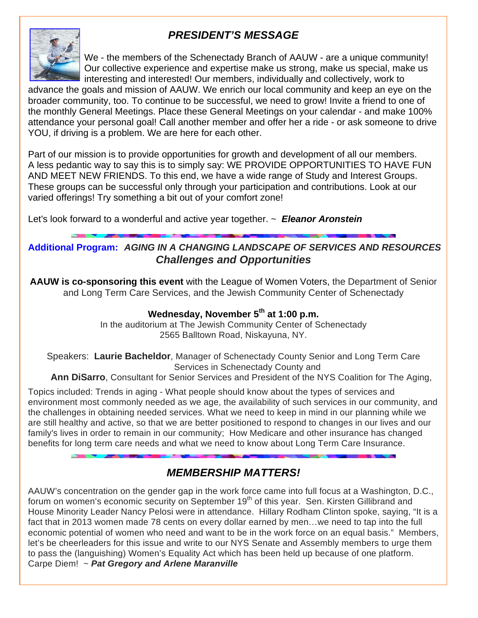# **PRESIDENT'S MESSAGE**



We - the members of the Schenectady Branch of AAUW - are a unique community! Our collective experience and expertise make us strong, make us special, make us interesting and interested! Our members, individually and collectively, work to

advance the goals and mission of AAUW. We enrich our local community and keep an eye on the broader community, too. To continue to be successful, we need to grow! Invite a friend to one of the monthly General Meetings. Place these General Meetings on your calendar - and make 100% attendance your personal goal! Call another member and offer her a ride - or ask someone to drive YOU, if driving is a problem. We are here for each other.

Part of our mission is to provide opportunities for growth and development of all our members. A less pedantic way to say this is to simply say: WE PROVIDE OPPORTUNITIES TO HAVE FUN AND MEET NEW FRIENDS. To this end, we have a wide range of Study and Interest Groups. These groups can be successful only through your participation and contributions. Look at our varied offerings! Try something a bit out of your comfort zone!

Let's look forward to a wonderful and active year together. ~ **Eleanor Aronstein**

### **Additional Program: AGING IN A CHANGING LANDSCAPE OF SERVICES AND RESOURCES Challenges and Opportunities**

**AAUW is co-sponsoring this event** with the League of Women Voters, the Department of Senior and Long Term Care Services, and the Jewish Community Center of Schenectady

### **Wednesday, November 5th at 1:00 p.m.**

In the auditorium at The Jewish Community Center of Schenectady 2565 Balltown Road, Niskayuna, NY.

Speakers: **Laurie Bacheldor**, Manager of Schenectady County Senior and Long Term Care Services in Schenectady County and

 **Ann DiSarro**, Consultant for Senior Services and President of the NYS Coalition for The Aging,

Topics included: Trends in aging - What people should know about the types of services and environment most commonly needed as we age, the availability of such services in our community, and the challenges in obtaining needed services. What we need to keep in mind in our planning while we are still healthy and active, so that we are better positioned to respond to changes in our lives and our family's lives in order to remain in our community; How Medicare and other insurance has changed benefits for long term care needs and what we need to know about Long Term Care Insurance.

# **MEMBERSHIP MATTERS!**

AAUW's concentration on the gender gap in the work force came into full focus at a Washington, D.C., forum on women's economic security on September 19<sup>th</sup> of this year. Sen. Kirsten Gillibrand and House Minority Leader Nancy Pelosi were in attendance. Hillary Rodham Clinton spoke, saying, "It is a fact that in 2013 women made 78 cents on every dollar earned by men…we need to tap into the full economic potential of women who need and want to be in the work force on an equal basis." Members, let's be cheerleaders for this issue and write to our NYS Senate and Assembly members to urge them to pass the (languishing) Women's Equality Act which has been held up because of one platform. Carpe Diem! ~ **Pat Gregory and Arlene Maranville**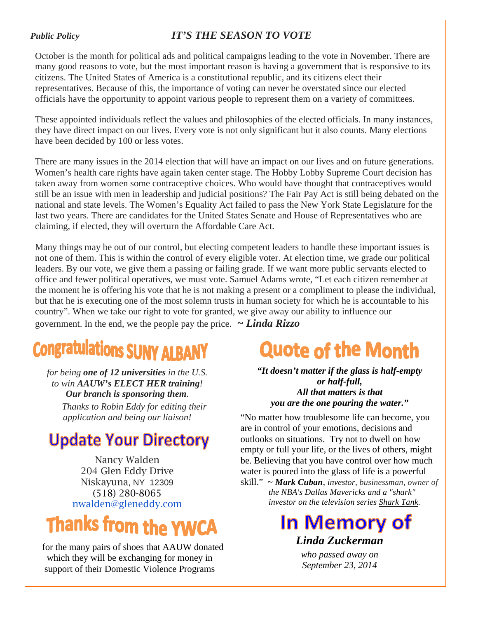### *Public Policy IT'S THE SEASON TO VOTE*

October is the month for political ads and political campaigns leading to the vote in November. There are many good reasons to vote, but the most important reason is having a government that is responsive to its citizens. The United States of America is a constitutional republic, and its citizens elect their representatives. Because of this, the importance of voting can never be overstated since our elected officials have the opportunity to appoint various people to represent them on a variety of committees.

These appointed individuals reflect the values and philosophies of the elected officials. In many instances, they have direct impact on our lives. Every vote is not only significant but it also counts. Many elections have been decided by 100 or less votes.

There are many issues in the 2014 election that will have an impact on our lives and on future generations. Women's health care rights have again taken center stage. The Hobby Lobby Supreme Court decision has taken away from women some contraceptive choices. Who would have thought that contraceptives would still be an issue with men in leadership and judicial positions? The Fair Pay Act is still being debated on the national and state levels. The Women's Equality Act failed to pass the New York State Legislature for the last two years. There are candidates for the United States Senate and House of Representatives who are claiming, if elected, they will overturn the Affordable Care Act.

Many things may be out of our control, but electing competent leaders to handle these important issues is not one of them. This is within the control of every eligible voter. At election time, we grade our political leaders. By our vote, we give them a passing or failing grade. If we want more public servants elected to office and fewer political operatives, we must vote. Samuel Adams wrote, "Let each citizen remember at the moment he is offering his vote that he is not making a present or a compliment to please the individual, but that he is executing one of the most solemn trusts in human society for which he is accountable to his country". When we take our right to vote for granted, we give away our ability to influence our government. In the end, we the people pay the price.  $\sim$  **Linda Rizzo** 

# **Congratulations SUNY ALBANY**

*for being one of 12 universities in the U.S. to win AAUW's ELECT HER training! Our branch is sponsoring them. Thanks to Robin Eddy for editing their application and being our liaison!*

# **Update Your Directory**

Nancy Walden 204 Glen Eddy Drive Niskayuna, NY 12309 (518) 280-8065 nwalden@gleneddy.com

# **Thanks from the YWCA**

 for the many pairs of shoes that AAUW donated which they will be exchanging for money in support of their Domestic Violence Programs

# **Quote of the Month**

*"It doesn't matter if the glass is half-empty or half-full, All that matters is that you are the one pouring the water."*

"No matter how troublesome life can become, you are in control of your emotions, decisions and outlooks on situations. Try not to dwell on how empty or full your life, or the lives of others, might be. Believing that you have control over how much water is poured into the glass of life is a powerful

skill." ~ *Mark Cuban*, *investor, businessman, owner of the NBA's Dallas Mavericks and a "shark" investor on the television series Shark Tank.*

# **In Memory of** *Linda Zuckerman*

*who passed away on September 23, 2014*